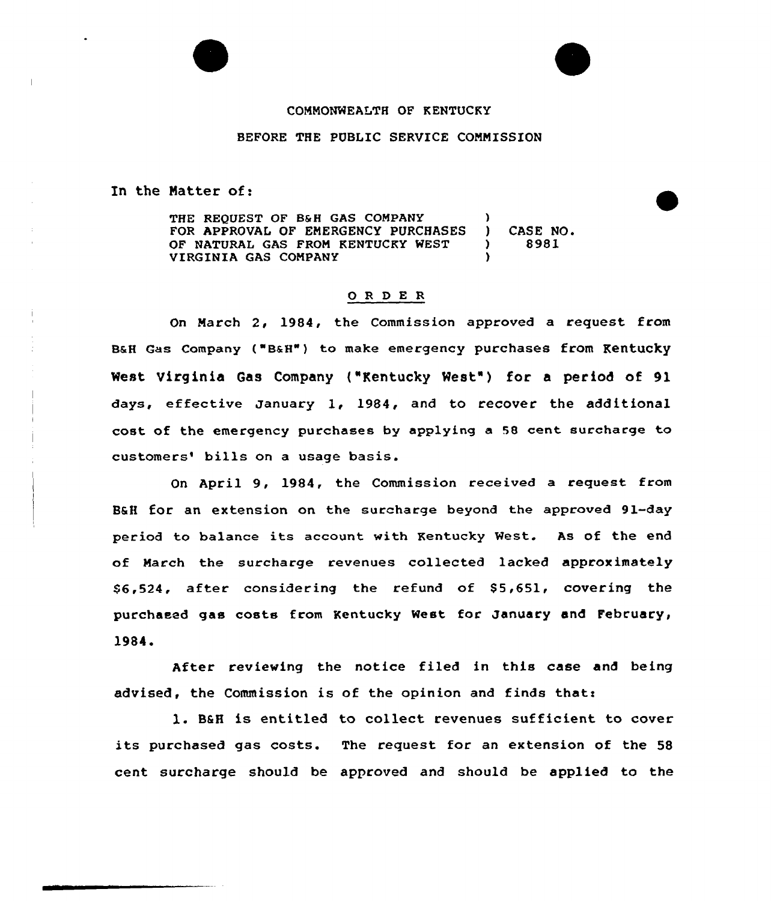## COMMONWEALTH OF KENTUCKY

## BEFORE THE PUBLIC SERVICE COMMISSION

In the Natter of:

THE REQUEST OF 8&H GAS COMPANY FOR APPROVAL OF EMERGENCY PURCHASES OF NATURAL GAS FROM KENTUCKY WEST VIRGINIA GAS COMPANY ) ) CASE NO. ) 8981 )

## 0 <sup>R</sup> <sup>D</sup> E <sup>R</sup>

On March 2, 1984, the Commission approved a request from B&H Gas Company ("B&H") to make emergency purchases from Kentucky West Virginia Gas Company ("Kentucky West") for a period of 91 days, effective January 1, 1984, and to recover the additional cost of the emergency purchases by applying a 58 cent surcharge to customers' bills on a usage basis.

On April 9, 1984, the Commission received a request from B&H for an extension on the surcharge beyond the approved 91-day period to balance its account with Kentucky West. As of the end of March the surcharge revenues collected lacked approximately \$6,524, after considering the refund of \$5,651, covering the purchased gas costs from Kentucky West for January and February, 1984.

After reviewing the notice filed in this case and being advised, the Commission is of the opinion and finds that:

1. B&H is entitled to collect revenues sufficient to cover its purchased gas costs. The request for an extension of the <sup>58</sup> cent surcharge should be approved and should be applied to the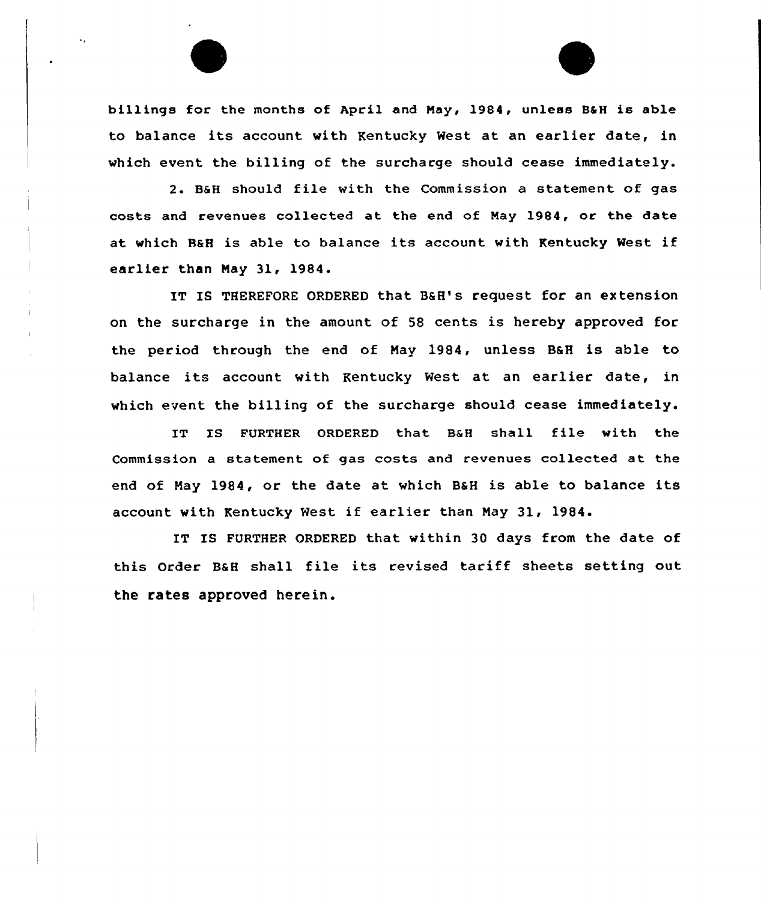billings for the months of April and May, 1984, unless B&H is able to balance its account with Kentucky Nest at an earlier date, in which event the billing of the surcharge should cease immediately.

2. BaH should file with the Commission <sup>a</sup> statement of gas costs and revenues collected at the end of Nay 1984, or the date at which H&H is able to balance its account with Kentucky West if earlier than Nay 31, 1984.

IT IS THEREFORE ORDERED that BSH's request for an extension on the surcharge in the amount of 58 cents is hereby approved for the period through the end of Nay 1984, unless BSH is able to balance its account with Kentucky Nest at an earlier date, in which event the billing of the surcharge should cease immediately.

IT IS FURTHER ORDERED that BaH shall file with the Commission a statement of gas costs and revenues collected at the end of May 1984, or the date at which B&H is able to balance its account with Kentucky West if earlier than Nay 31, 1984.

IT IS FURTHER ORDERED that within 30 days from the date of this Order BaH shall file its revised tariff sheets setting out the rates approved herein.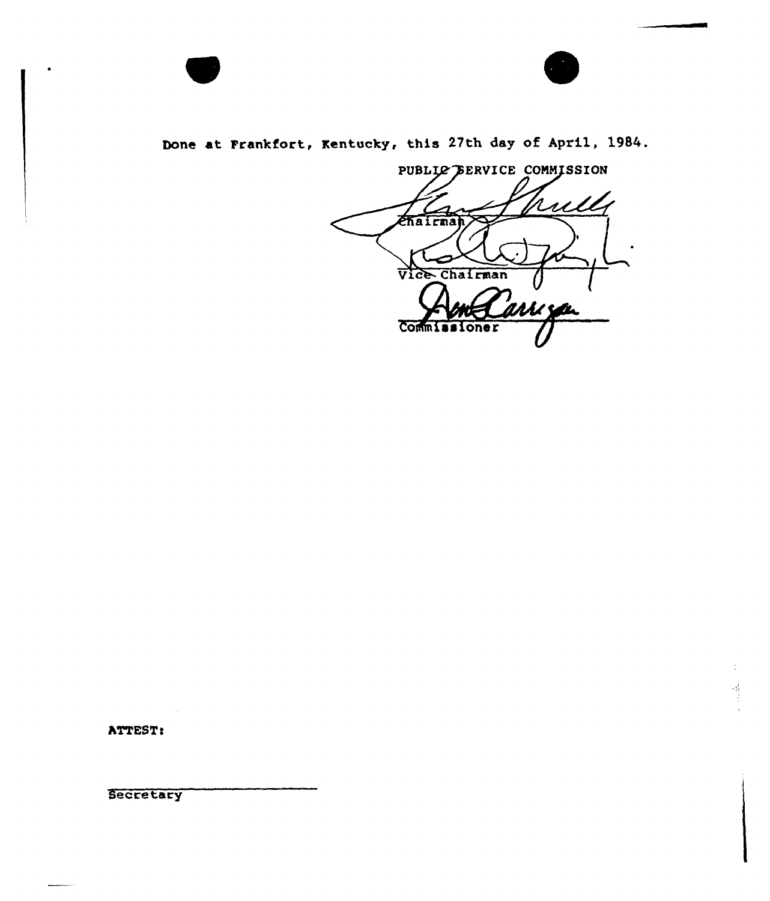

Done at Frankfort, Kentucky, this 27th day of April, 1984.

PUBLIC BERVICE COMMISSION rull *Chairman* Vice Chairman 'arri søn **Commissi** oner

 $\frac{1}{2}$ 

ATTEST:

Secretary